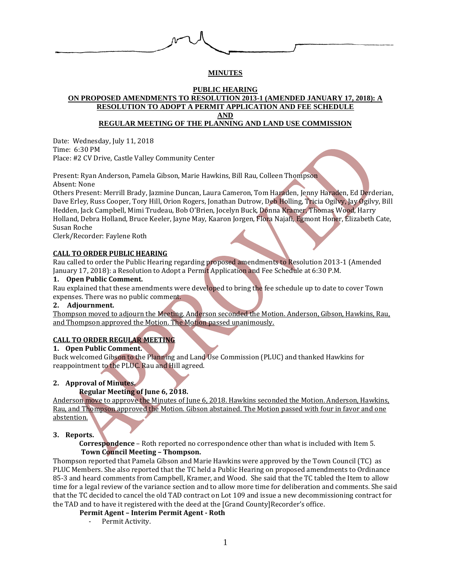

# **MINUTES**

#### **PUBLIC HEARING ON PROPOSED AMENDMENTS TO RESOLUTION 2013-1 (AMENDED JANUARY 17, 2018): A RESOLUTION TO ADOPT A PERMIT APPLICATION AND FEE SCHEDULE AND**

# **REGULAR MEETING OF THE PLANNING AND LAND USE COMMISSION**

Date: Wednesday, July 11, 2018 Time: 6:30 PM Place: #2 CV Drive, Castle Valley Community Center

Present: Ryan Anderson, Pamela Gibson, Marie Hawkins, Bill Rau, Colleen Thompson Absent: None

Others Present: Merrill Brady, Jazmine Duncan, Laura Cameron, Tom Haraden, Jenny Haraden, Ed Derderian, Dave Erley, Russ Cooper, Tory Hill, Orion Rogers, Jonathan Dutrow, Deb Holling, Tricia Ogilvy, Jay Ogilvy, Bill Hedden, Jack Campbell, Mimi Trudeau, Bob O'Brien, Jocelyn Buck, Donna Kramer, Thomas Wood, Harry Holland, Debra Holland, Bruce Keeler, Jayne May, Kaaron Jorgen, Flora Najafi, Egmont Honer, Elizabeth Cate, Susan Roche

Clerk/Recorder: Faylene Roth

### **CALL TO ORDER PUBLIC HEARING**

Rau called to order the Public Hearing regarding proposed amendments to Resolution 2013-1 (Amended January 17, 2018): a Resolution to Adopt a Permit Application and Fee Schedule at 6:30 P.M.

### **1. Open Public Comment.**

Rau explained that these amendments were developed to bring the fee schedule up to date to cover Town expenses. There was no public comment.

### **2. Adjournment.**

Thompson moved to adjourn the Meeting. Anderson seconded the Motion. Anderson, Gibson, Hawkins, Rau, and Thompson approved the Motion. The Motion passed unanimously.

## **CALL TO ORDER REGULAR MEETING**

### **1. Open Public Comment.**

Buck welcomed Gibson to the Planning and Land Use Commission (PLUC) and thanked Hawkins for reappointment to the PLUC. Rau and Hill agreed.

## **2. Approval of Minutes.**

## **Regular Meeting of June 6, 2018.**

Anderson move to approve the Minutes of June 6, 2018. Hawkins seconded the Motion. Anderson, Hawkins, Rau, and Thompson approved the Motion. Gibson abstained. The Motion passed with four in favor and one abstention.

### **3. Reports.**

 **Correspondence** – Roth reported no correspondence other than what is included with Item 5. **Town Council Meeting – Thompson.**

Thompson reported that Pamela Gibson and Marie Hawkins were approved by the Town Council (TC) as PLUC Members. She also reported that the TC held a Public Hearing on proposed amendments to Ordinance 85-3 and heard comments from Campbell, Kramer, and Wood. She said that the TC tabled the Item to allow time for a legal review of the variance section and to allow more time for deliberation and comments. She said that the TC decided to cancel the old TAD contract on Lot 109 and issue a new decommissioning contract for the TAD and to have it registered with the deed at the [Grand County]Recorder's office.

### **Permit Agent – Interim Permit Agent - Roth**

- Permit Activity.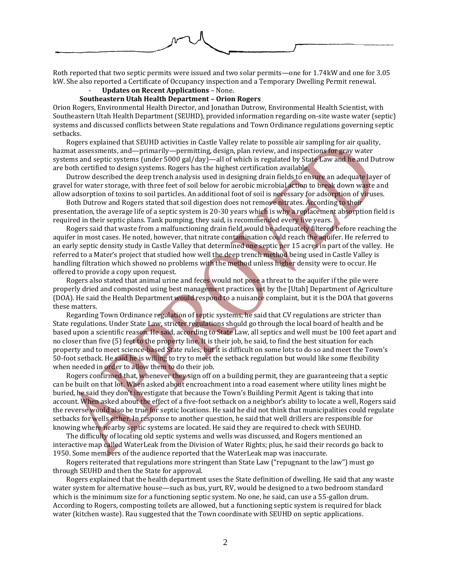Roth reported that two septic permits were issued and two solar permits—one for 1.74kW and one for 3.05 kW. She also reported a Certificate of Occupancy inspection and a Temporary Dwelling Permit renewal.

- **Updates on Recent Applications** – None.

#### **Southeastern Utah Health Department – Orion Rogers**

Orion Rogers, Environmental Health Director, and Jonathan Dutrow, Environmental Health Scientist, with Southeastern Utah Health Department (SEUHD), provided information regarding on-site waste water (septic) systems and discussed conflicts between State regulations and Town Ordinance regulations governing septic setbacks.

Rogers explained that SEUHD activities in Castle Valley relate to possible air sampling for air quality, hazmat assessments, and—primarily—permitting, design, plan review, and inspections for gray water systems and septic systems (under 5000 gal/day)—all of which is regulated by State Law and he and Dutrow are both certified to design systems. Rogers has the highest certification available.

Dutrow described the deep trench analysis used in designing drain fields to ensure an adequate layer of gravel for water storage, with three feet of soil below for aerobic microbial action to break down waste and allow adsorption of toxins to soil particles. An additional foot of soil is necessary for adsorption of viruses.

Both Dutrow and Rogers stated that soil digestion does not remove nitrates. According to their presentation, the average life of a septic system is 20-30 years which is why a replacement absorption field is required in their septic plans. Tank pumping, they said, is recommended every five years.

Rogers said that waste from a malfunctioning drain field would be adequately filtered before reaching the aquifer in most cases. He noted, however, that nitrate contamination could reach the aquifer. He referred to an early septic density study in Castle Valley that determined one septic per 15 acres in part of the valley. He referred to a Mater's project that studied how well the deep trench method being used in Castle Valley is handling filtration which showed no problems with the method unless higher density were to occur. He offered to provide a copy upon request.

Rogers also stated that animal urine and feces would not pose a threat to the aquifer if the pile were properly dried and composted using best management practices set by the [Utah] Department of Agriculture (DOA). He said the Health Department would respond to a nuisance complaint, but it is the DOA that governs these matters.

Regarding Town Ordinance regulation of septic systems, he said that CV regulations are stricter than State regulations. Under State Law, stricter regulations should go through the local board of health and be based upon a scientific reason. He said, according to State Law, all septics and well must be 100 feet apart and no closer than five (5) feet to the property line. It is their job, he said, to find the best situation for each property and to meet science-based State rules; but it is difficult on some lots to do so and meet the Town's 50-foot setback. He said he is willing to try to meet the setback regulation but would like some flexibility when needed in order to allow them to do their job.

Rogers confirmed that, whenever they sign off on a building permit, they are guaranteeing that a septic can be built on that lot. When asked about encroachment into a road easement where utility lines might be buried, he said they don't investigate that because the Town's Building Permit Agent is taking that into account. When asked about the effect of a five-foot setback on a neighbor's ability to locate a well, Rogers said the reverse would also be true for septic locations. He said he did not think that municipalities could regulate setbacks for wells either. In response to another question, he said that well drillers are responsible for knowing where nearby septic systems are located. He said they are required to check with SEUHD.

The difficulty of locating old septic systems and wells was discussed, and Rogers mentioned an interactive map called WaterLeak from the Division of Water Rights; plus, he said their records go back to 1950. Some members of the audience reported that the WaterLeak map was inaccurate.

Rogers reiterated that regulations more stringent than State Law ("repugnant to the law") must go through SEUHD and then the State for approval.

Rogers explained that the health department uses the State definition of dwelling. He said that any waste water system for alternative house—such as bus, yurt, RV, would be designed to a two bedroom standard which is the minimum size for a functioning septic system. No one, he said, can use a 55-gallon drum. According to Rogers, composting toilets are allowed, but a functioning septic system is required for black water (kitchen waste). Rau suggested that the Town coordinate with SEUHD on septic applications.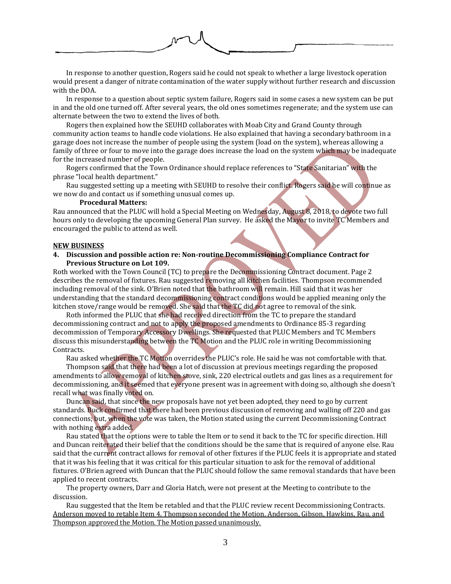

In response to another question, Rogers said he could not speak to whether a large livestock operation would present a danger of nitrate contamination of the water supply without further research and discussion with the DOA.

In response to a question about septic system failure, Rogers said in some cases a new system can be put in and the old one turned off. After several years, the old ones sometimes regenerate; and the system use can alternate between the two to extend the lives of both.

Rogers then explained how the SEUHD collaborates with Moab City and Grand County through community action teams to handle code violations. He also explained that having a secondary bathroom in a garage does not increase the number of people using the system (load on the system), whereas allowing a family of three or four to move into the garage does increase the load on the system which may be inadequate for the increased number of people.

Rogers confirmed that the Town Ordinance should replace references to "State Sanitarian" with the phrase "local health department."

Rau suggested setting up a meeting with SEUHD to resolve their conflict. Rogers said he will continue as we now do and contact us if something unusual comes up.

#### **Procedural Matters:**

Rau announced that the PLUC will hold a Special Meeting on Wednesday, August 8, 2018, to devote two full hours only to developing the upcoming General Plan survey. He asked the Mayor to invite TC Members and encouraged the public to attend as well.

#### **NEW BUSINESS**

### **4. Discussion and possible action re: Non-routine Decommissioning Compliance Contract for Previous Structure on Lot 109.**

Roth worked with the Town Council (TC) to prepare the Decommissioning Contract document. Page 2 describes the removal of fixtures. Rau suggested removing all kitchen facilities. Thompson recommended including removal of the sink. O'Brien noted that the bathroom will remain. Hill said that it was her understanding that the standard decommissioning contract conditions would be applied meaning only the kitchen stove/range would be removed. She said that the TC did not agree to removal of the sink.

Roth informed the PLUC that she had received direction from the TC to prepare the standard decommissioning contract and not to apply the proposed amendments to Ordinance 85-3 regarding decommission of Temporary Accessory Dwellings. She requested that PLUC Members and TC Members discuss this misunderstanding between the TC Motion and the PLUC role in writing Decommissioning Contracts.

Rau asked whether the TC Motion overrides the PLUC's role. He said he was not comfortable with that.

Thompson said that there had been a lot of discussion at previous meetings regarding the proposed amendments to allow removal of kitchen stove, sink, 220 electrical outlets and gas lines as a requirement for decommissioning, and it seemed that everyone present was in agreement with doing so, although she doesn't recall what was finally voted on.

Duncan said, that since the new proposals have not yet been adopted, they need to go by current standards. Buck confirmed that there had been previous discussion of removing and walling off 220 and gas connections; but, when the vote was taken, the Motion stated using the current Decommissioning Contract with nothing extra added.

Rau stated that the options were to table the Item or to send it back to the TC for specific direction. Hill and Duncan reiterated their belief that the conditions should be the same that is required of anyone else. Rau said that the current contract allows for removal of other fixtures if the PLUC feels it is appropriate and stated that it was his feeling that it was critical for this particular situation to ask for the removal of additional fixtures. O'Brien agreed with Duncan that the PLUC should follow the same removal standards that have been applied to recent contracts.

The property owners, Darr and Gloria Hatch, were not present at the Meeting to contribute to the discussion.

Rau suggested that the Item be retabled and that the PLUC review recent Decommissioning Contracts. Anderson moved to retable Item 4. Thompson seconded the Motion. Anderson, Gibson, Hawkins, Rau, and Thompson approved the Motion. The Motion passed unanimously.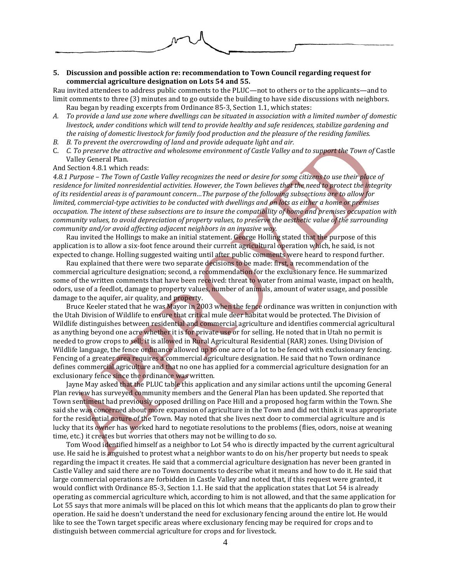

### **5. Discussion and possible action re: recommendation to Town Council regarding request for commercial agriculture designation on Lots 54 and 55.**

Rau invited attendees to address public comments to the PLUC—not to others or to the applicants—and to limit comments to three (3) minutes and to go outside the building to have side discussions with neighbors. Rau began by reading excerpts from Ordinance 85-3, Section 1.1, which states:

- *A. To provide a land use zone where dwellings can be situated in association with a limited number of domestic livestock, under conditions which will tend to provide healthy and safe residences, stabilize gardening and the raising of domestic livestock for family food production and the pleasure of the residing families.*
- *B. B. To prevent the overcrowding of land and provide adequate light and air.*
- C. *C. To preserve the attractive and wholesome environment of Castle Valley and to support the Town of* Castle Valley General Plan.

And Section 4.8.1 which reads:

*4.8.1 Purpose – The Town of Castle Valley recognizes the need or desire for some citizens to use their place of residence for limited nonresidential activities. However, the Town believes that the need to protect the integrity of its residential areas is of paramount concern…The purpose of the following subsections are to allow for limited, commercial-type activities to be conducted with dwellings and on lots as either a home or premises occupation. The intent of these subsections are to insure the compatibility of home and premises occupation with community values, to avoid depreciation of property values, to preserve the aesthetic value of the surrounding community and/or avoid affecting adjacent neighbors in an invasive way.*

Rau invited the Hollings to make an initial statement. George Holling stated that the purpose of this application is to allow a six-foot fence around their current agricultural operation which, he said, is not expected to change. Holling suggested waiting until after public comments were heard to respond further.

Rau explained that there were two separate decisions to be made: first, a recommendation of the commercial agriculture designation; second, a recommendation for the exclusionary fence. He summarized some of the written comments that have been received: threat to water from animal waste, impact on health, odors, use of a feedlot, damage to property values, number of animals, amount of water usage, and possible damage to the aquifer, air quality, and property.

Bruce Keeler stated that he was Mayor in 2003 when the fence ordinance was written in conjunction with the Utah Division of Wildlife to ensure that critical mule deer habitat would be protected. The Division of Wildlife distinguishes between residential and commercial agriculture and identifies commercial agricultural as anything beyond one acre whether it is for private use or for selling. He noted that in Utah no permit is needed to grow crops to sell; it is allowed in Rural Agricultural Residential (RAR) zones. Using Division of Wildlife language, the fence ordinance allowed up to one acre of a lot to be fenced with exclusionary fencing. Fencing of a greater area requires a commercial agriculture designation. He said that no Town ordinance defines commercial agriculture and that no one has applied for a commercial agriculture designation for an exclusionary fence since the ordinance was written.

Jayne May asked that the PLUC table this application and any similar actions until the upcoming General Plan review has surveyed community members and the General Plan has been updated. She reported that Town sentiment had previously opposed drilling on Pace Hill and a proposed hog farm within the Town. She said she was concerned about more expansion of agriculture in the Town and did not think it was appropriate for the residential nature of the Town. May noted that she lives next door to commercial agriculture and is lucky that its owner has worked hard to negotiate resolutions to the problems (flies, odors, noise at weaning time, etc.) it creates but worries that others may not be willing to do so.

Tom Wood identified himself as a neighbor to Lot 54 who is directly impacted by the current agricultural use. He said he is anguished to protest what a neighbor wants to do on his/her property but needs to speak regarding the impact it creates. He said that a commercial agriculture designation has never been granted in Castle Valley and said there are no Town documents to describe what it means and how to do it. He said that large commercial operations are forbidden in Castle Valley and noted that, if this request were granted, it would conflict with Ordinance 85-3, Section 1.1. He said that the application states that Lot 54 is already operating as commercial agriculture which, according to him is not allowed, and that the same application for Lot 55 says that more animals will be placed on this lot which means that the applicants do plan to grow their operation. He said he doesn't understand the need for exclusionary fencing around the entire lot. He would like to see the Town target specific areas where exclusionary fencing may be required for crops and to distinguish between commercial agriculture for crops and for livestock.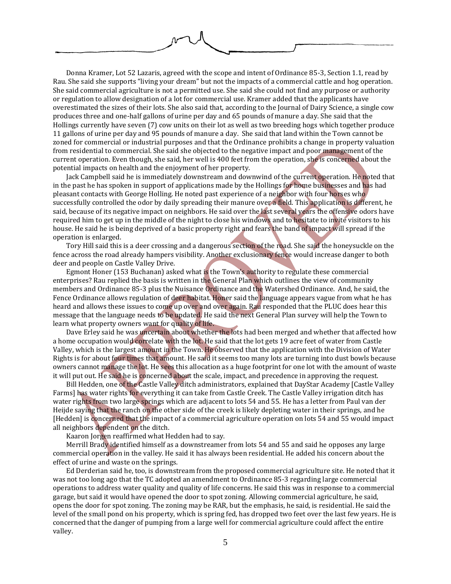Donna Kramer, Lot 52 Lazaris, agreed with the scope and intent of Ordinance 85-3, Section 1.1, read by Rau. She said she supports "living your dream" but not the impacts of a commercial cattle and hog operation. She said commercial agriculture is not a permitted use. She said she could not find any purpose or authority or regulation to allow designation of a lot for commercial use. Kramer added that the applicants have overestimated the sizes of their lots. She also said that, according to the Journal of Dairy Science, a single cow produces three and one-half gallons of urine per day and 65 pounds of manure a day. She said that the Hollings currently have seven (7) cow units on their lot as well as two breeding hogs which together produce 11 gallons of urine per day and 95 pounds of manure a day. She said that land within the Town cannot be zoned for commercial or industrial purposes and that the Ordinance prohibits a change in property valuation from residential to commercial. She said she objected to the negative impact and poor management of the current operation. Even though, she said, her well is 400 feet from the operation, she is concerned about the potential impacts on health and the enjoyment of her property.

Jack Campbell said he is immediately downstream and downwind of the current operation. He noted that in the past he has spoken in support of applications made by the Hollings for home businesses and has had pleasant contacts with George Holling. He noted past experience of a neighbor with four horses who successfully controlled the odor by daily spreading their manure over a field. This application is different, he said, because of its negative impact on neighbors. He said over the last several years the offensive odors have required him to get up in the middle of the night to close his windows and to hesitate to invite visitors to his house. He said he is being deprived of a basic property right and fears the band of impact will spread if the operation is enlarged.

Tory Hill said this is a deer crossing and a dangerous section of the road. She said the honeysuckle on the fence across the road already hampers visibility. Another exclusionary fence would increase danger to both deer and people on Castle Valley Drive.

Egmont Honer (153 Buchanan) asked what is the Town's authority to regulate these commercial enterprises? Rau replied the basis is written in the General Plan which outlines the view of community members and Ordinance 85-3 plus the Nuisance Ordinance and the Watershed Ordinance. And, he said, the Fence Ordinance allows regulation of deer habitat. Honer said the language appears vague from what he has heard and allows these issues to come up over and over again. Rau responded that the PLUC does hear this message that the language needs to be updated. He said the next General Plan survey will help the Town to learn what property owners want for quality of life.

Dave Erley said he was uncertain about whether the lots had been merged and whether that affected how a home occupation would correlate with the lot. He said that the lot gets 19 acre feet of water from Castle Valley, which is the largest amount in the Town. He observed that the application with the Division of Water Rights is for about four times that amount. He said it seems too many lots are turning into dust bowls because owners cannot manage the lot. He sees this allocation as a huge footprint for one lot with the amount of waste it will put out. He said he is concerned about the scale, impact, and precedence in approving the request.

Bill Hedden, one of the Castle Valley ditch administrators, explained that DayStar Academy [Castle Valley Farms] has water rights for everything it can take from Castle Creek. The Castle Valley irrigation ditch has water rights from two large springs which are adjacent to lots 54 and 55. He has a letter from Paul van der Heijde saying that the ranch on the other side of the creek is likely depleting water in their springs, and he [Hedden] is concerned that the impact of a commercial agriculture operation on lots 54 and 55 would impact all neighbors dependent on the ditch.

Kaaron Jorgen reaffirmed what Hedden had to say.

Merrill Brady identified himself as a downstreamer from lots 54 and 55 and said he opposes any large commercial operation in the valley. He said it has always been residential. He added his concern about the effect of urine and waste on the springs.

Ed Derderian said he, too, is downstream from the proposed commercial agriculture site. He noted that it was not too long ago that the TC adopted an amendment to Ordinance 85-3 regarding large commercial operations to address water quality and quality of life concerns. He said this was in response to a commercial garage, but said it would have opened the door to spot zoning. Allowing commercial agriculture, he said, opens the door for spot zoning. The zoning may be RAR, but the emphasis, he said, is residential. He said the level of the small pond on his property, which is spring fed, has dropped two feet over the last few years. He is concerned that the danger of pumping from a large well for commercial agriculture could affect the entire valley.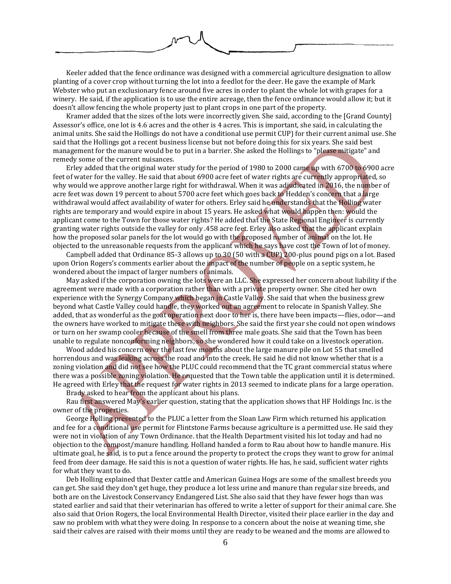Keeler added that the fence ordinance was designed with a commercial agriculture designation to allow planting of a cover crop without turning the lot into a feedlot for the deer. He gave the example of Mark Webster who put an exclusionary fence around five acres in order to plant the whole lot with grapes for a winery. He said, if the application is to use the entire acreage, then the fence ordinance would allow it; but it doesn't allow fencing the whole property just to plant crops in one part of the property.

Kramer added that the sizes of the lots were incorrectly given. She said, according to the [Grand County] Assessor's office, one lot is 4.6 acres and the other is 4 acres. This is important, she said, in calculating the animal units. She said the Hollings do not have a conditional use permit CUP) for their current animal use. She said that the Hollings got a recent business license but not before doing this for six years. She said best management for the manure would be to put in a barrier. She asked the Hollings to "please mitigate" and remedy some of the current nuisances.

Erley added that the original water study for the period of 1980 to 2000 came up with 6700 to 6900 acre feet of water for the valley. He said that about 6900 acre feet of water rights are currently appropriated, so why would we approve another large right for withdrawal. When it was adjudicated in 2016, the number of acre feet was down 19 percent to about 5700 acre feet which goes back to Hedden's concern that a large withdrawal would affect availability of water for others. Erley said he understands that the Holling water rights are temporary and would expire in about 15 years. He asked what would happen then: would the applicant come to the Town for those water rights? He added that the State Regional Engineer is currently granting water rights outside the valley for only .458 acre feet. Erley also asked that the applicant explain how the proposed solar panels for the lot would go with the proposed number of animal on the lot. He objected to the unreasonable requests from the applicant which he says have cost the Town of lot of money.

Campbell added that Ordinance 85-3 allows up to 30 (50 with a CUP) 200-plus pound pigs on a lot. Based upon Orion Rogers's comments earlier about the impact of the number of people on a septic system, he wondered about the impact of larger numbers of animals.

May asked if the corporation owning the lots were an LLC. She expressed her concern about liability if the agreement were made with a corporation rather than with a private property owner. She cited her own experience with the Synergy Company which began in Castle Valley. She said that when the business grew beyond what Castle Valley could handle, they worked out an agreement to relocate in Spanish Valley. She added, that as wonderful as the goat operation next door to her is, there have been impacts—flies, odor—and the owners have worked to mitigate these with neighbors. She said the first year she could not open windows or turn on her swamp cooler because of the smell from three male goats. She said that the Town has been unable to regulate nonconforming neighbors, so she wondered how it could take on a livestock operation.

Wood added his concern over the last few months about the large manure pile on Lot 55 that smelled horrendous and was leaking across the road and into the creek. He said he did not know whether that is a zoning violation and did not see how the PLUC could recommend that the TC grant commercial status where there was a possible zoning violation. He requested that the Town table the application until it is determined. He agreed with Erley that the request for water rights in 2013 seemed to indicate plans for a large operation.

Brady asked to hear from the applicant about his plans.

Rau first answered May's earlier question, stating that the application shows that HF Holdings Inc. is the owner of the properties.

George Holling presented to the PLUC a letter from the Sloan Law Firm which returned his application and fee for a conditional use permit for Flintstone Farms because agriculture is a permitted use. He said they were not in violation of any Town Ordinance. that the Health Department visited his lot today and had no objection to the compost/manure handling. Holland handed a form to Rau about how to handle manure. His ultimate goal, he said, is to put a fence around the property to protect the crops they want to grow for animal feed from deer damage. He said this is not a question of water rights. He has, he said, sufficient water rights for what they want to do.

Deb Holling explained that Dexter cattle and American Guinea Hogs are some of the smallest breeds you can get. She said they don't get huge, they produce a lot less urine and manure than regular size breeds, and both are on the Livestock Conservancy Endangered List. She also said that they have fewer hogs than was stated earlier and said that their veterinarian has offered to write a letter of support for their animal care. She also said that Orion Rogers, the local Environmental Health Director, visited their place earlier in the day and saw no problem with what they were doing. In response to a concern about the noise at weaning time, she said their calves are raised with their moms until they are ready to be weaned and the moms are allowed to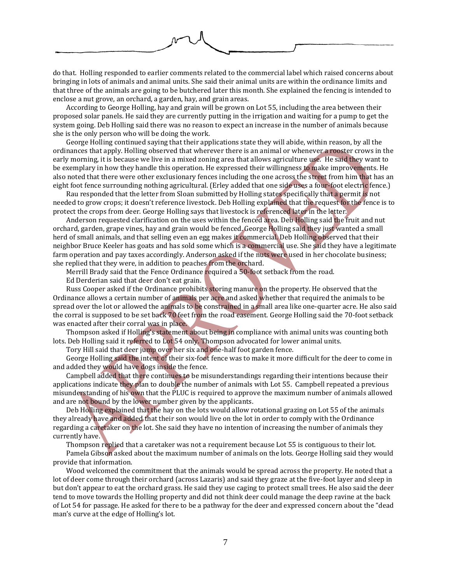

do that. Holling responded to earlier comments related to the commercial label which raised concerns about bringing in lots of animals and animal units. She said their animal units are within the ordinance limits and that three of the animals are going to be butchered later this month. She explained the fencing is intended to enclose a nut grove, an orchard, a garden, hay, and grain areas.

According to George Holling, hay and grain will be grown on Lot 55, including the area between their proposed solar panels. He said they are currently putting in the irrigation and waiting for a pump to get the system going. Deb Holling said there was no reason to expect an increase in the number of animals because she is the only person who will be doing the work.

George Holling continued saying that their applications state they will abide, within reason, by all the ordinances that apply. Holling observed that wherever there is an animal or whenever a rooster crows in the early morning, it is because we live in a mixed zoning area that allows agriculture use. He said they want to be exemplary in how they handle this operation. He expressed their willingness to make improvements. He also noted that there were other exclusionary fences including the one across the street from him that has an eight foot fence surrounding nothing agricultural. (Erley added that one side uses a four-foot electric fence.)

Rau responded that the letter from Sloan submitted by Holling states specifically that a permit is not needed to grow crops; it doesn't reference livestock. Deb Holling explained that the request for the fence is to protect the crops from deer. George Holling says that livestock is referenced later in the letter.

Anderson requested clarification on the uses within the fenced area. Deb Holling said the fruit and nut orchard, garden, grape vines, hay and grain would be fenced. George Holling said they just wanted a small herd of small animals, and that selling even an egg makes it commercial. Deb Holling observed that their neighbor Bruce Keeler has goats and has sold some which is a commercial use. She said they have a legitimate farm operation and pay taxes accordingly. Anderson asked if the nuts were used in her chocolate business; she replied that they were, in addition to peaches from the orchard.

Merrill Brady said that the Fence Ordinance required a 50-foot setback from the road.

Ed Derderian said that deer don't eat grain.

Russ Cooper asked if the Ordinance prohibits storing manure on the property. He observed that the Ordinance allows a certain number of animals per acre and asked whether that required the animals to be spread over the lot or allowed the animals to be constrained in a small area like one-quarter acre. He also said the corral is supposed to be set back 70 feet from the road easement. George Holling said the 70-foot setback was enacted after their corral was in place.

Thompson asked if Holling's statement about being in compliance with animal units was counting both lots. Deb Holling said it referred to Lot 54 only. Thompson advocated for lower animal units.

Tory Hill said that deer jump over her six and one-half foot garden fence.

George Holling said the intent of their six-foot fence was to make it more difficult for the deer to come in and added they would have dogs inside the fence.

Campbell added that there continues to be misunderstandings regarding their intentions because their applications indicate they plan to double the number of animals with Lot 55. Campbell repeated a previous misunderstanding of his own that the PLUC is required to approve the maximum number of animals allowed and are not bound by the lower number given by the applicants.

Deb Holling explained that the hay on the lots would allow rotational grazing on Lot 55 of the animals they already have and added that their son would live on the lot in order to comply with the Ordinance regarding a caretaker on the lot. She said they have no intention of increasing the number of animals they currently have.

Thompson replied that a caretaker was not a requirement because Lot 55 is contiguous to their lot.

Pamela Gibson asked about the maximum number of animals on the lots. George Holling said they would provide that information.

Wood welcomed the commitment that the animals would be spread across the property. He noted that a lot of deer come through their orchard (across Lazaris) and said they graze at the five-foot layer and sleep in but don't appear to eat the orchard grass. He said they use caging to protect small trees. He also said the deer tend to move towards the Holling property and did not think deer could manage the deep ravine at the back of Lot 54 for passage. He asked for there to be a pathway for the deer and expressed concern about the "dead man's curve at the edge of Holling's lot.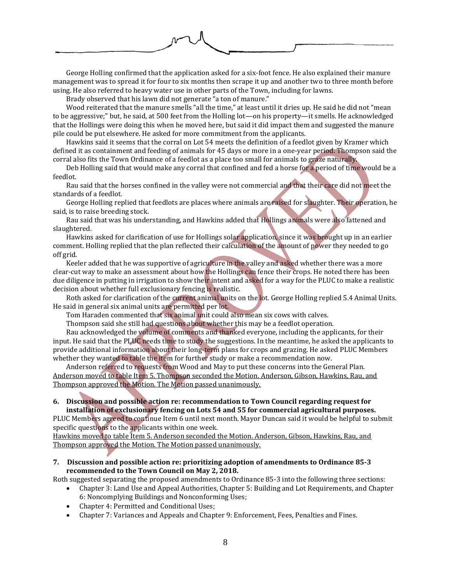

George Holling confirmed that the application asked for a six-foot fence. He also explained their manure management was to spread it for four to six months then scrape it up and another two to three month before using. He also referred to heavy water use in other parts of the Town, including for lawns.

Brady observed that his lawn did not generate "a ton of manure."

Wood reiterated that the manure smells "all the time," at least until it dries up. He said he did not "mean to be aggressive;" but, he said, at 500 feet from the Holling lot—on his property—it smells. He acknowledged that the Hollings were doing this when he moved here, but said it did impact them and suggested the manure pile could be put elsewhere. He asked for more commitment from the applicants.

Hawkins said it seems that the corral on Lot 54 meets the definition of a feedlot given by Kramer which defined it as containment and feeding of animals for 45 days or more in a one-year period. Thompson said the corral also fits the Town Ordinance of a feedlot as a place too small for animals to graze naturally.

Deb Holling said that would make any corral that confined and fed a horse for a period of time would be a feedlot.

Rau said that the horses confined in the valley were not commercial and that their care did not meet the standards of a feedlot.

George Holling replied that feedlots are places where animals are raised for slaughter. Their operation, he said, is to raise breeding stock.

Rau said that was his understanding, and Hawkins added that Hollings animals were also fattened and slaughtered.

Hawkins asked for clarification of use for Hollings solar application, since it was brought up in an earlier comment. Holling replied that the plan reflected their calculation of the amount of power they needed to go off grid.

Keeler added that he was supportive of agriculture in the valley and asked whether there was a more clear-cut way to make an assessment about how the Hollings can fence their crops. He noted there has been due diligence in putting in irrigation to show their intent and asked for a way for the PLUC to make a realistic decision about whether full exclusionary fencing is realistic.

Roth asked for clarification of the current animal units on the lot. George Holling replied 5.4 Animal Units. He said in general six animal units are permitted per lot.

Tom Haraden commented that six animal unit could also mean six cows with calves.

Thompson said she still had questions about whether this may be a feedlot operation.

Rau acknowledged the volume of comments and thanked everyone, including the applicants, for their input. He said that the PLUC needs time to study the suggestions. In the meantime, he asked the applicants to provide additional information about their long-term plans for crops and grazing. He asked PLUC Members whether they wanted to table the item for further study or make a recommendation now.

Anderson referred to requests from Wood and May to put these concerns into the General Plan. Anderson moved to table Item 5. Thompson seconded the Motion. Anderson, Gibson, Hawkins, Rau, and Thompson approved the Motion. The Motion passed unanimously.

### **6. Discussion and possible action re: recommendation to Town Council regarding request for installation of exclusionary fencing on Lots 54 and 55 for commercial agricultural purposes.**

PLUC Members agreed to continue Item 6 until next month. Mayor Duncan said it would be helpful to submit specific questions to the applicants within one week.

Hawkins moved to table Item 5. Anderson seconded the Motion. Anderson, Gibson, Hawkins, Rau, and Thompson approved the Motion. The Motion passed unanimously.

**7. Discussion and possible action re: prioritizing adoption of amendments to Ordinance 85-3 recommended to the Town Council on May 2, 2018.**

Roth suggested separating the proposed amendments to Ordinance 85-3 into the following three sections:

- Chapter 3: Land Use and Appeal Authorities, Chapter 5: Building and Lot Requirements, and Chapter 6: Noncomplying Buildings and Nonconforming Uses;
- Chapter 4: Permitted and Conditional Uses;
- Chapter 7: Variances and Appeals and Chapter 9: Enforcement, Fees, Penalties and Fines.